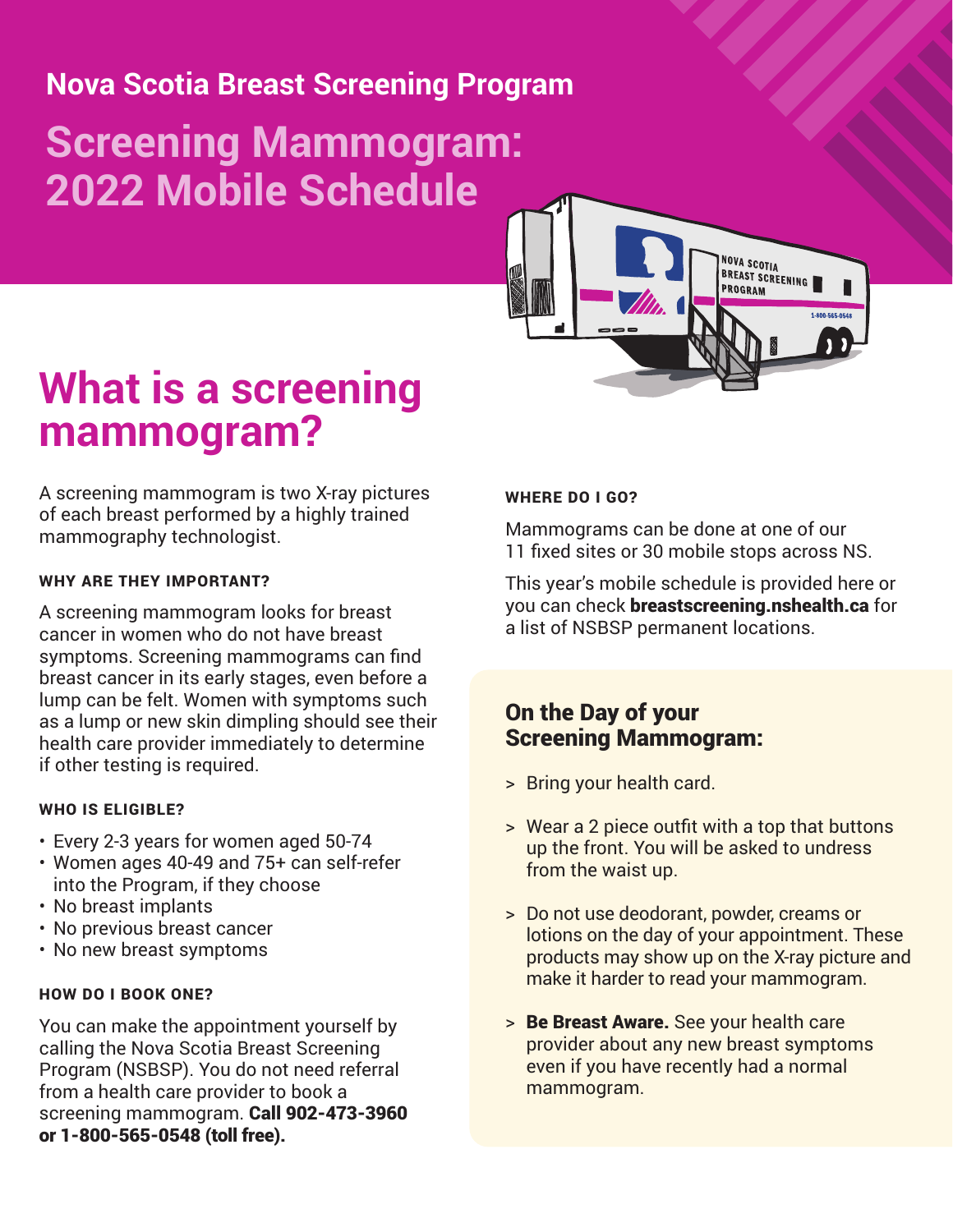## **Nova Scotia Breast Screening Program**

# **Screening Mammogram: 2022 Mobile Schedule**



# **What is a screening mammogram?**

A screening mammogram is two X-ray pictures of each breast performed by a highly trained mammography technologist.

#### WHY ARE THEY IMPORTANT?

A screening mammogram looks for breast cancer in women who do not have breast symptoms. Screening mammograms can find breast cancer in its early stages, even before a lump can be felt. Women with symptoms such as a lump or new skin dimpling should see their health care provider immediately to determine if other testing is required.

#### WHO IS ELIGIBLE?

- Every 2-3 years for women aged 50-74
- Women ages 40-49 and 75+ can self-refer into the Program, if they choose
- No breast implants
- No previous breast cancer
- No new breast symptoms

#### HOW DO I BOOK ONE?

You can make the appointment yourself by calling the Nova Scotia Breast Screening Program (NSBSP). You do not need referral from a health care provider to book a screening mammogram. Call 902-473-3960 or 1-800-565-0548 (toll free).

#### WHERE DO I GO?

Mammograms can be done at one of our 11 fixed sites or 30 mobile stops across NS.

This year's mobile schedule is provided here or you can check breastscreening.nshealth.ca for a list of NSBSP permanent locations.

### On the Day of your Screening Mammogram:

- > Bring your health card.
- > Wear a 2 piece outfit with a top that buttons up the front. You will be asked to undress from the waist up.
- > Do not use deodorant, powder, creams or lotions on the day of your appointment. These products may show up on the X-ray picture and make it harder to read your mammogram.
- > Be Breast Aware. See your health care provider about any new breast symptoms even if you have recently had a normal mammogram.